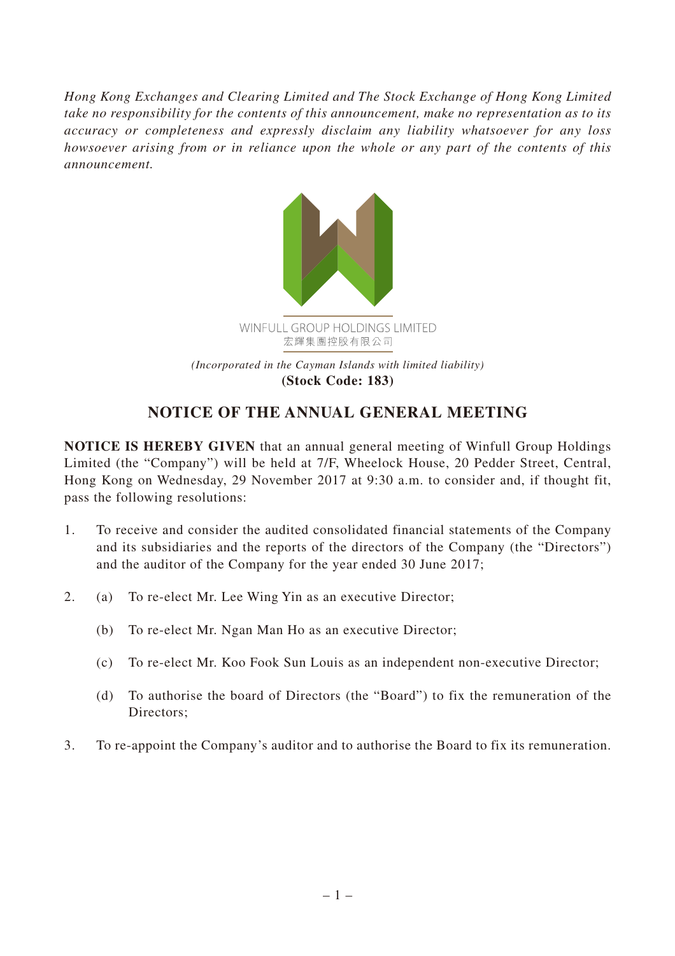*Hong Kong Exchanges and Clearing Limited and The Stock Exchange of Hong Kong Limited take no responsibility for the contents of this announcement, make no representation as to its accuracy or completeness and expressly disclaim any liability whatsoever for any loss howsoever arising from or in reliance upon the whole or any part of the contents of this announcement.*



**(Stock Code: 183)**

## **NOTICE OF THE ANNUAL GENERAL MEETING**

**NOTICE IS HEREBY GIVEN** that an annual general meeting of Winfull Group Holdings Limited (the "Company") will be held at 7/F, Wheelock House, 20 Pedder Street, Central, Hong Kong on Wednesday, 29 November 2017 at 9:30 a.m. to consider and, if thought fit, pass the following resolutions:

- 1. To receive and consider the audited consolidated financial statements of the Company and its subsidiaries and the reports of the directors of the Company (the "Directors") and the auditor of the Company for the year ended 30 June 2017;
- 2. (a) To re-elect Mr. Lee Wing Yin as an executive Director;
	- (b) To re-elect Mr. Ngan Man Ho as an executive Director;
	- (c) To re-elect Mr. Koo Fook Sun Louis as an independent non-executive Director;
	- (d) To authorise the board of Directors (the "Board") to fix the remuneration of the Directors;
- 3. To re-appoint the Company's auditor and to authorise the Board to fix its remuneration.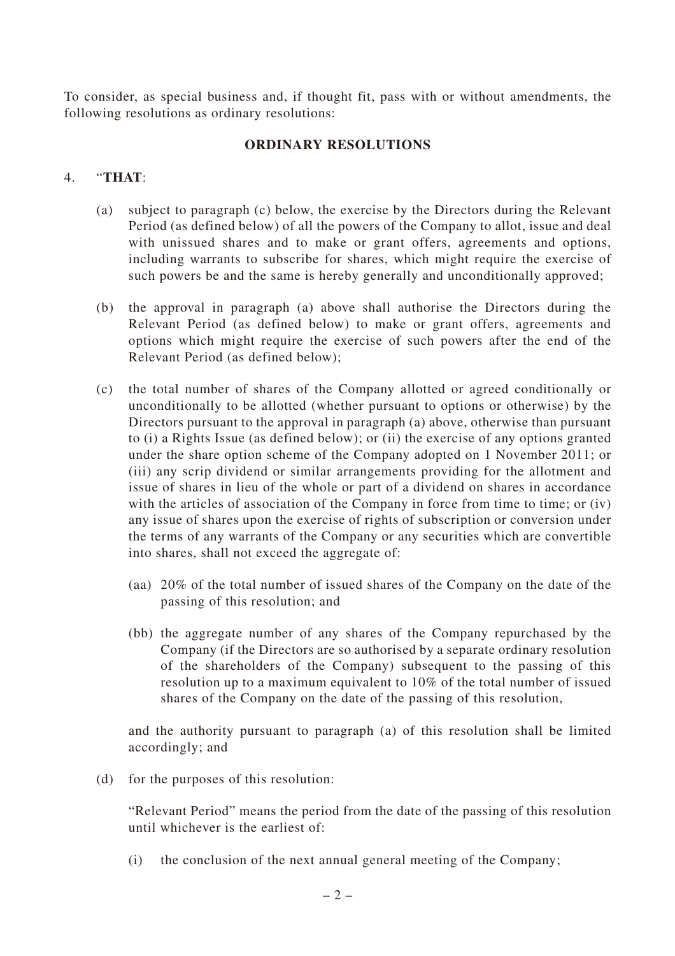To consider, as special business and, if thought fit, pass with or without amendments, the following resolutions as ordinary resolutions:

## **ORDINARY RESOLUTIONS**

## 4. "**THAT**:

- (a) subject to paragraph (c) below, the exercise by the Directors during the Relevant Period (as defined below) of all the powers of the Company to allot, issue and deal with unissued shares and to make or grant offers, agreements and options, including warrants to subscribe for shares, which might require the exercise of such powers be and the same is hereby generally and unconditionally approved;
- (b) the approval in paragraph (a) above shall authorise the Directors during the Relevant Period (as defined below) to make or grant offers, agreements and options which might require the exercise of such powers after the end of the Relevant Period (as defined below);
- (c) the total number of shares of the Company allotted or agreed conditionally or unconditionally to be allotted (whether pursuant to options or otherwise) by the Directors pursuant to the approval in paragraph (a) above, otherwise than pursuant to (i) a Rights Issue (as defined below); or (ii) the exercise of any options granted under the share option scheme of the Company adopted on 1 November 2011; or (iii) any scrip dividend or similar arrangements providing for the allotment and issue of shares in lieu of the whole or part of a dividend on shares in accordance with the articles of association of the Company in force from time to time; or (iv) any issue of shares upon the exercise of rights of subscription or conversion under the terms of any warrants of the Company or any securities which are convertible into shares, shall not exceed the aggregate of:
	- (aa) 20% of the total number of issued shares of the Company on the date of the passing of this resolution; and
	- (bb) the aggregate number of any shares of the Company repurchased by the Company (if the Directors are so authorised by a separate ordinary resolution of the shareholders of the Company) subsequent to the passing of this resolution up to a maximum equivalent to 10% of the total number of issued shares of the Company on the date of the passing of this resolution,

and the authority pursuant to paragraph (a) of this resolution shall be limited accordingly; and

(d) for the purposes of this resolution:

"Relevant Period" means the period from the date of the passing of this resolution until whichever is the earliest of:

(i) the conclusion of the next annual general meeting of the Company;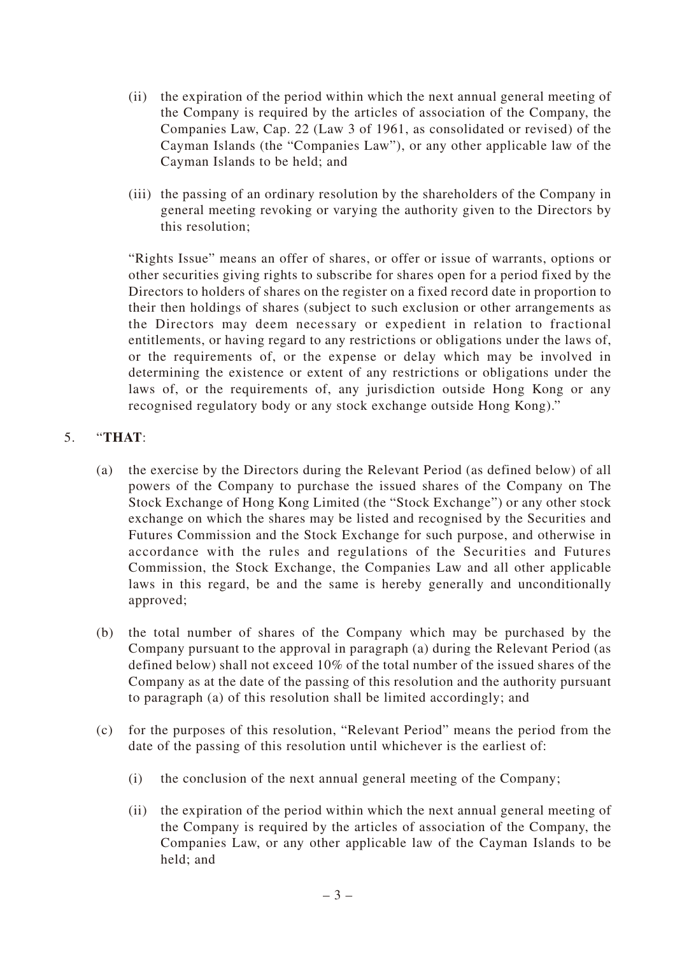- (ii) the expiration of the period within which the next annual general meeting of the Company is required by the articles of association of the Company, the Companies Law, Cap. 22 (Law 3 of 1961, as consolidated or revised) of the Cayman Islands (the "Companies Law"), or any other applicable law of the Cayman Islands to be held; and
- (iii) the passing of an ordinary resolution by the shareholders of the Company in general meeting revoking or varying the authority given to the Directors by this resolution;

"Rights Issue" means an offer of shares, or offer or issue of warrants, options or other securities giving rights to subscribe for shares open for a period fixed by the Directors to holders of shares on the register on a fixed record date in proportion to their then holdings of shares (subject to such exclusion or other arrangements as the Directors may deem necessary or expedient in relation to fractional entitlements, or having regard to any restrictions or obligations under the laws of, or the requirements of, or the expense or delay which may be involved in determining the existence or extent of any restrictions or obligations under the laws of, or the requirements of, any jurisdiction outside Hong Kong or any recognised regulatory body or any stock exchange outside Hong Kong)."

## 5. "**THAT**:

- (a) the exercise by the Directors during the Relevant Period (as defined below) of all powers of the Company to purchase the issued shares of the Company on The Stock Exchange of Hong Kong Limited (the "Stock Exchange") or any other stock exchange on which the shares may be listed and recognised by the Securities and Futures Commission and the Stock Exchange for such purpose, and otherwise in accordance with the rules and regulations of the Securities and Futures Commission, the Stock Exchange, the Companies Law and all other applicable laws in this regard, be and the same is hereby generally and unconditionally approved;
- (b) the total number of shares of the Company which may be purchased by the Company pursuant to the approval in paragraph (a) during the Relevant Period (as defined below) shall not exceed 10% of the total number of the issued shares of the Company as at the date of the passing of this resolution and the authority pursuant to paragraph (a) of this resolution shall be limited accordingly; and
- (c) for the purposes of this resolution, "Relevant Period" means the period from the date of the passing of this resolution until whichever is the earliest of:
	- (i) the conclusion of the next annual general meeting of the Company;
	- (ii) the expiration of the period within which the next annual general meeting of the Company is required by the articles of association of the Company, the Companies Law, or any other applicable law of the Cayman Islands to be held; and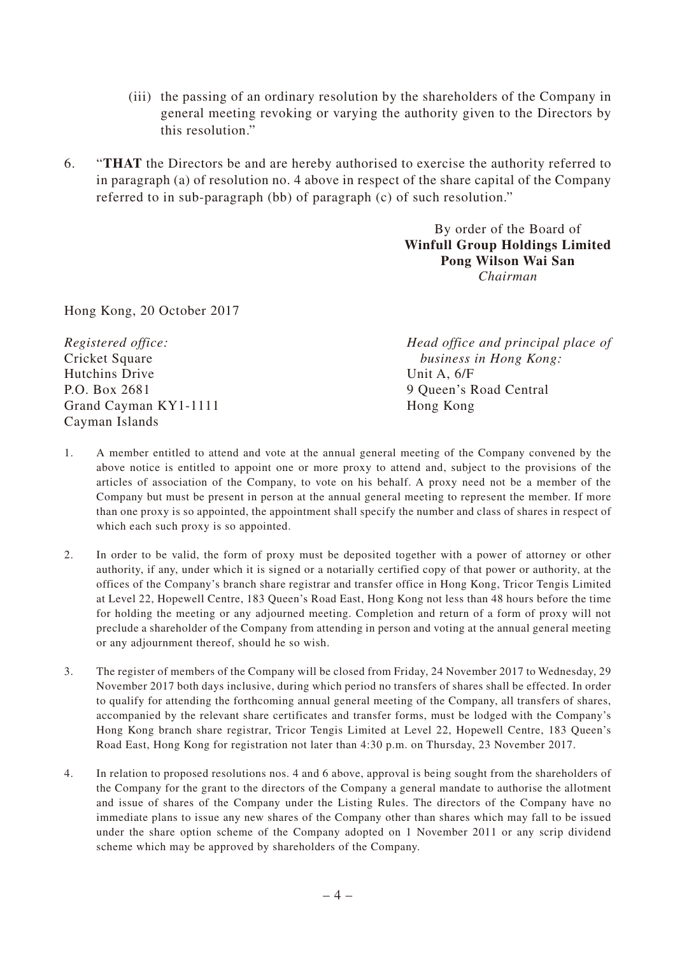- (iii) the passing of an ordinary resolution by the shareholders of the Company in general meeting revoking or varying the authority given to the Directors by this resolution."
- 6. "**THAT** the Directors be and are hereby authorised to exercise the authority referred to in paragraph (a) of resolution no. 4 above in respect of the share capital of the Company referred to in sub-paragraph (bb) of paragraph (c) of such resolution."

By order of the Board of **Winfull Group Holdings Limited Pong Wilson Wai San** *Chairman*

Hong Kong, 20 October 2017

| Registered office:    | Head office and principal place of |
|-----------------------|------------------------------------|
| Cricket Square        | business in Hong Kong:             |
| Hutchins Drive        | Unit A, $6/F$                      |
| P.O. Box 2681         | 9 Queen's Road Central             |
| Grand Cayman KY1-1111 | Hong Kong                          |
| Cayman Islands        |                                    |

- 1. A member entitled to attend and vote at the annual general meeting of the Company convened by the above notice is entitled to appoint one or more proxy to attend and, subject to the provisions of the articles of association of the Company, to vote on his behalf. A proxy need not be a member of the Company but must be present in person at the annual general meeting to represent the member. If more than one proxy is so appointed, the appointment shall specify the number and class of shares in respect of which each such proxy is so appointed.
- 2. In order to be valid, the form of proxy must be deposited together with a power of attorney or other authority, if any, under which it is signed or a notarially certified copy of that power or authority, at the offices of the Company's branch share registrar and transfer office in Hong Kong, Tricor Tengis Limited at Level 22, Hopewell Centre, 183 Queen's Road East, Hong Kong not less than 48 hours before the time for holding the meeting or any adjourned meeting. Completion and return of a form of proxy will not preclude a shareholder of the Company from attending in person and voting at the annual general meeting or any adjournment thereof, should he so wish.
- 3. The register of members of the Company will be closed from Friday, 24 November 2017 to Wednesday, 29 November 2017 both days inclusive, during which period no transfers of shares shall be effected. In order to qualify for attending the forthcoming annual general meeting of the Company, all transfers of shares, accompanied by the relevant share certificates and transfer forms, must be lodged with the Company's Hong Kong branch share registrar, Tricor Tengis Limited at Level 22, Hopewell Centre, 183 Queen's Road East, Hong Kong for registration not later than 4:30 p.m. on Thursday, 23 November 2017.
- 4. In relation to proposed resolutions nos. 4 and 6 above, approval is being sought from the shareholders of the Company for the grant to the directors of the Company a general mandate to authorise the allotment and issue of shares of the Company under the Listing Rules. The directors of the Company have no immediate plans to issue any new shares of the Company other than shares which may fall to be issued under the share option scheme of the Company adopted on 1 November 2011 or any scrip dividend scheme which may be approved by shareholders of the Company.